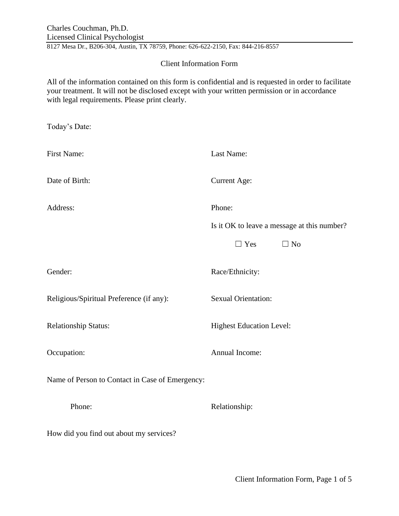8127 Mesa Dr., B206-304, Austin, TX 78759, Phone: 626-622-2150, Fax: 844-216-8557

## Client Information Form

All of the information contained on this form is confidential and is requested in order to facilitate your treatment. It will not be disclosed except with your written permission or in accordance with legal requirements. Please print clearly.

| Today's Date:                                   |                                             |
|-------------------------------------------------|---------------------------------------------|
| First Name:                                     | Last Name:                                  |
| Date of Birth:                                  | <b>Current Age:</b>                         |
| Address:                                        | Phone:                                      |
|                                                 | Is it OK to leave a message at this number? |
|                                                 | $\Box$ Yes<br>$\Box$ No                     |
| Gender:                                         | Race/Ethnicity:                             |
| Religious/Spiritual Preference (if any):        | <b>Sexual Orientation:</b>                  |
| <b>Relationship Status:</b>                     | <b>Highest Education Level:</b>             |
| Occupation:                                     | Annual Income:                              |
| Name of Person to Contact in Case of Emergency: |                                             |
| Phone:                                          | Relationship:                               |
| How did you find out about my services?         |                                             |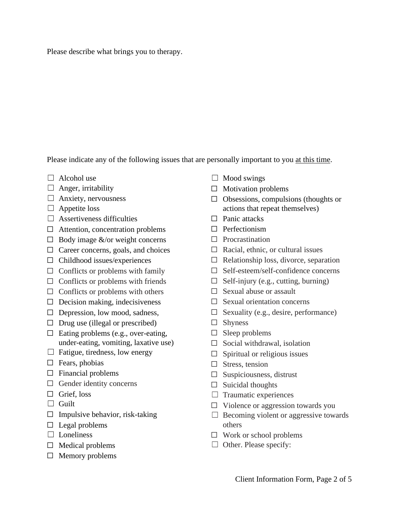Please describe what brings you to therapy.

Please indicate any of the following issues that are personally important to you at this time.

- $\Box$  Alcohol use
- $\Box$  Anger, irritability
- $\Box$  Anxiety, nervousness
- $\Box$  Appetite loss
- $\Box$  Assertiveness difficulties
- $\Box$  Attention, concentration problems
- $\Box$  Body image &/or weight concerns
- $\Box$  Career concerns, goals, and choices
- $\Box$  Childhood issues/experiences
- $\Box$  Conflicts or problems with family
- $\Box$  Conflicts or problems with friends
- $\Box$  Conflicts or problems with others
- $\Box$  Decision making, indecisiveness
- $\Box$  Depression, low mood, sadness,
- $\Box$  Drug use (illegal or prescribed)
- $\Box$  Eating problems (e.g., over-eating, under-eating, vomiting, laxative use)
- $\Box$  Fatigue, tiredness, low energy
- $\square$  Fears, phobias
- $\Box$  Financial problems
- $\Box$  Gender identity concerns
- $\Box$  Grief, loss
- □ Guilt
- $\Box$  Impulsive behavior, risk-taking
- $\Box$  Legal problems
- □ Loneliness
- $\Box$  Medical problems
- $\Box$  Memory problems
- $\Box$  Mood swings
- $\Box$  Motivation problems
- $\Box$  Obsessions, compulsions (thoughts or actions that repeat themselves)
- $\Box$  Panic attacks
- ☐ Perfectionism
- ☐ Procrastination
- $\Box$  Racial, ethnic, or cultural issues
- $\Box$  Relationship loss, divorce, separation
- ☐ Self-esteem/self-confidence concerns
- $\Box$  Self-injury (e.g., cutting, burning)
- $\Box$  Sexual abuse or assault
- $\Box$  Sexual orientation concerns
- $\Box$  Sexuality (e.g., desire, performance)
- □ Shyness
- $\square$  Sleep problems
- $\Box$  Social withdrawal, isolation
- $\Box$  Spiritual or religious issues
- $\square$  Stress, tension
- $\Box$  Suspiciousness, distrust
- $\Box$  Suicidal thoughts
- $\Box$  Traumatic experiences
- $\Box$  Violence or aggression towards you
- $\Box$  Becoming violent or aggressive towards others
- $\Box$  Work or school problems
- $\Box$  Other. Please specify: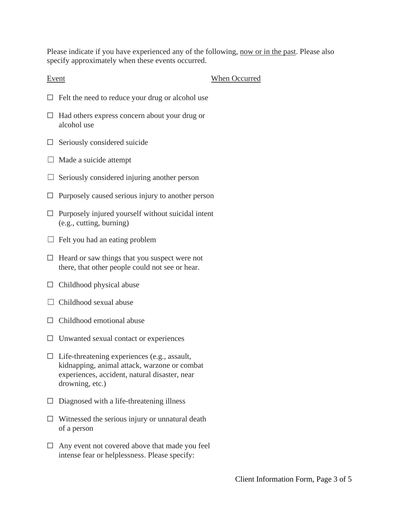Please indicate if you have experienced any of the following, now or in the past. Please also specify approximately when these events occurred.

Event When Occurred

- $\Box$  Felt the need to reduce your drug or alcohol use
- ☐ Had others express concern about your drug or alcohol use
- $\Box$  Seriously considered suicide
- $\Box$  Made a suicide attempt
- $\Box$  Seriously considered injuring another person
- $\Box$  Purposely caused serious injury to another person
- $\Box$  Purposely injured yourself without suicidal intent (e.g., cutting, burning)
- $\Box$  Felt you had an eating problem
- $\Box$  Heard or saw things that you suspect were not there, that other people could not see or hear.
- $\Box$  Childhood physical abuse
- $\Box$  Childhood sexual abuse
- $\Box$  Childhood emotional abuse
- $\Box$  Unwanted sexual contact or experiences
- $\Box$  Life-threatening experiences (e.g., assault, kidnapping, animal attack, warzone or combat experiences, accident, natural disaster, near drowning, etc.)
- $\Box$  Diagnosed with a life-threatening illness
- $\Box$  Witnessed the serious injury or unnatural death of a person
- $\Box$  Any event not covered above that made you feel intense fear or helplessness. Please specify: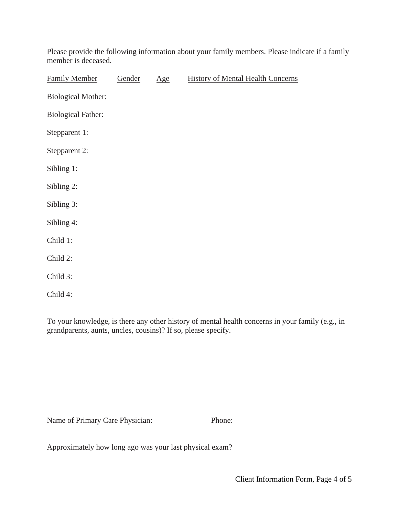Please provide the following information about your family members. Please indicate if a family member is deceased.

| <b>Family Member</b>      | Gender | Age | <b>History of Mental Health Concerns</b> |
|---------------------------|--------|-----|------------------------------------------|
| <b>Biological Mother:</b> |        |     |                                          |
| <b>Biological Father:</b> |        |     |                                          |
| Stepparent 1:             |        |     |                                          |
| Stepparent 2:             |        |     |                                          |
| Sibling 1:                |        |     |                                          |
| Sibling 2:                |        |     |                                          |
| Sibling 3:                |        |     |                                          |
| Sibling 4:                |        |     |                                          |
| Child 1:                  |        |     |                                          |
| Child 2:                  |        |     |                                          |
| Child 3:                  |        |     |                                          |
| Child 4:                  |        |     |                                          |

To your knowledge, is there any other history of mental health concerns in your family (e.g., in grandparents, aunts, uncles, cousins)? If so, please specify.

Name of Primary Care Physician: Phone:

Approximately how long ago was your last physical exam?